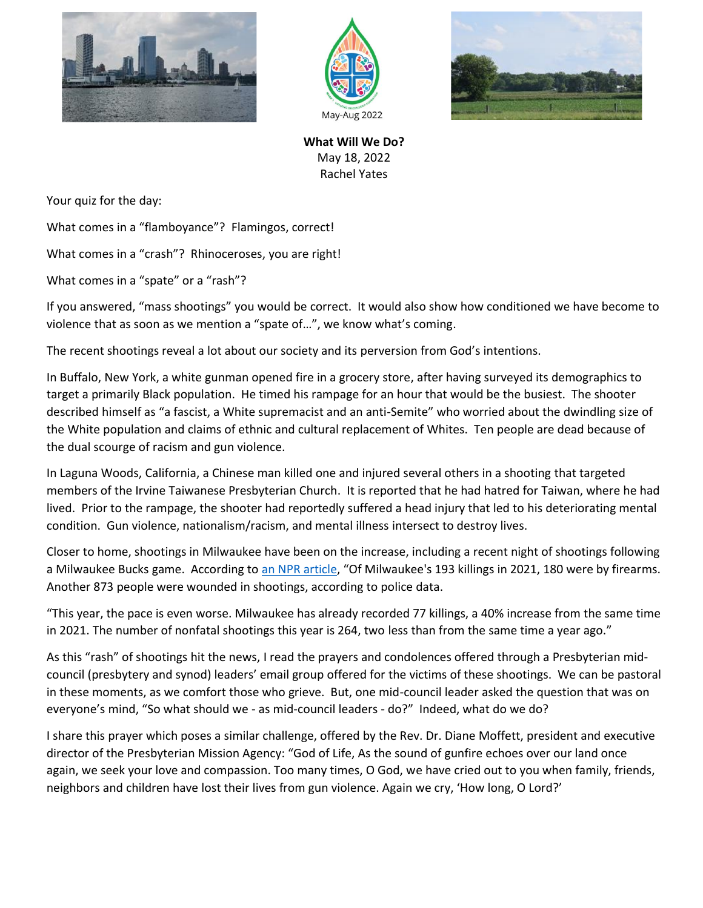





**What Will We Do?** May 18, 2022 Rachel Yates

Your quiz for the day:

What comes in a "flamboyance"? Flamingos, correct!

What comes in a "crash"? Rhinoceroses, you are right!

What comes in a "spate" or a "rash"?

If you answered, "mass shootings" you would be correct. It would also show how conditioned we have become to violence that as soon as we mention a "spate of…", we know what's coming.

The recent shootings reveal a lot about our society and its perversion from God's intentions.

In Buffalo, New York, a white gunman opened fire in a grocery store, after having surveyed its demographics to target a primarily Black population. He timed his rampage for an hour that would be the busiest. The shooter described himself as "a fascist, a White supremacist and an anti-Semite" who worried about the dwindling size of the White population and claims of ethnic and cultural replacement of Whites. Ten people are dead because of the dual scourge of racism and gun violence.

In Laguna Woods, California, a Chinese man killed one and injured several others in a shooting that targeted members of the Irvine Taiwanese Presbyterian Church. It is reported that he had hatred for Taiwan, where he had lived. Prior to the rampage, the shooter had reportedly suffered a head injury that led to his deteriorating mental condition. Gun violence, nationalism/racism, and mental illness intersect to destroy lives.

Closer to home, shootings in Milwaukee have been on the increase, including a recent night of shootings following a Milwaukee Bucks game. According to [an NPR article](https://www.npr.org/2022/05/14/1098949572/milwaukee-shootings-bucks-game-20-injured), "Of Milwaukee's 193 killings in 2021, 180 were by firearms. Another 873 people were wounded in shootings, according to police data.

"This year, the pace is even worse. Milwaukee has already recorded 77 killings, a 40% increase from the same time in 2021. The number of nonfatal shootings this year is 264, two less than from the same time a year ago."

As this "rash" of shootings hit the news, I read the prayers and condolences offered through a Presbyterian midcouncil (presbytery and synod) leaders' email group offered for the victims of these shootings. We can be pastoral in these moments, as we comfort those who grieve. But, one mid-council leader asked the question that was on everyone's mind, "So what should we - as mid-council leaders - do?" Indeed, what do we do?

I share this prayer which poses a similar challenge, offered by the Rev. Dr. Diane Moffett, president and executive director of the Presbyterian Mission Agency: "God of Life, As the sound of gunfire echoes over our land once again, we seek your love and compassion. Too many times, O God, we have cried out to you when family, friends, neighbors and children have lost their lives from gun violence. Again we cry, 'How long, O Lord?'